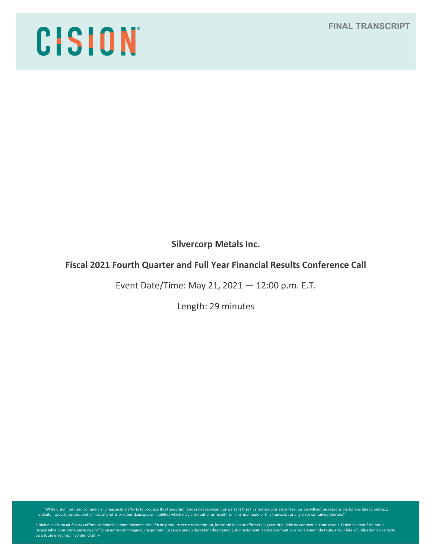# CISION

**Silvercorp Metals Inc.**

# **Fiscal 2021 Fourth Quarter and Full Year Financial Results Conference Call**

Event Date/Time: May 21, 2021 — 12:00 p.m. E.T.

Length: 29 minutes

"While Cision has used commercially reasonable efforts to produce this transcript, it does not represent or warrant that this transcript is error-free. Cision will not be responsible for any direct, indirect, indirect, ind

« Bien que Cision ait fait des efforts commercialement raisonnables afin de produire cette transcription, la société ne peut affirmer ou garantir qu'elle ne contient aucune erreur. Cision ne peut être tenue<br>responsable pou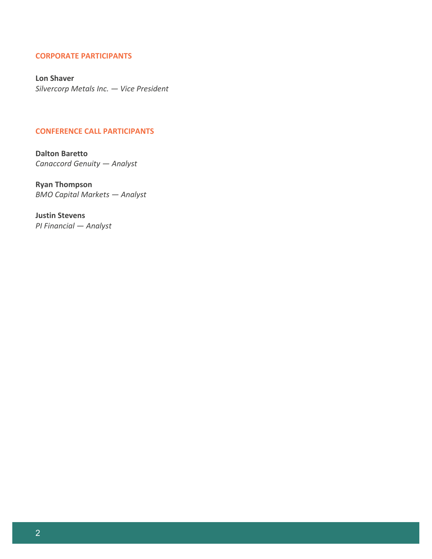# **CORPORATE PARTICIPANTS**

**Lon Shaver** *Silvercorp Metals Inc. — Vice President*

# **CONFERENCE CALL PARTICIPANTS**

**Dalton Baretto** *Canaccord Genuity — Analyst*

**Ryan Thompson** *BMO Capital Markets — Analyst*

**Justin Stevens** *PI Financial — Analyst*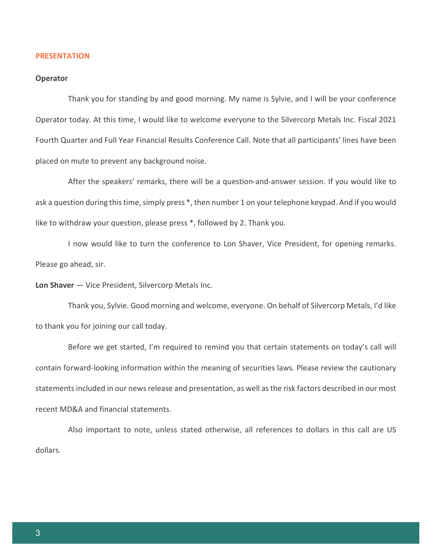### **PRESENTATION**

### **Operator**

Thank you for standing by and good morning. My name is Sylvie, and I will be your conference Operator today. At this time, I would like to welcome everyone to the Silvercorp Metals Inc. Fiscal 2021 Fourth Quarter and Full Year Financial Results Conference Call. Note that all participants' lines have been placed on mute to prevent any background noise.

After the speakers' remarks, there will be a question-and-answer session. If you would like to ask a question during this time, simply press \*, then number 1 on your telephone keypad. And if you would like to withdraw your question, please press \*, followed by 2. Thank you.

I now would like to turn the conference to Lon Shaver, Vice President, for opening remarks. Please go ahead, sir.

**Lon Shaver** — Vice President, Silvercorp Metals Inc.

Thank you, Sylvie. Good morning and welcome, everyone. On behalf of Silvercorp Metals, I'd like to thank you for joining our call today.

Before we get started, I'm required to remind you that certain statements on today's call will contain forward-looking information within the meaning of securities laws. Please review the cautionary statements included in our news release and presentation, as well as the risk factors described in our most recent MD&A and financial statements.

Also important to note, unless stated otherwise, all references to dollars in this call are US dollars.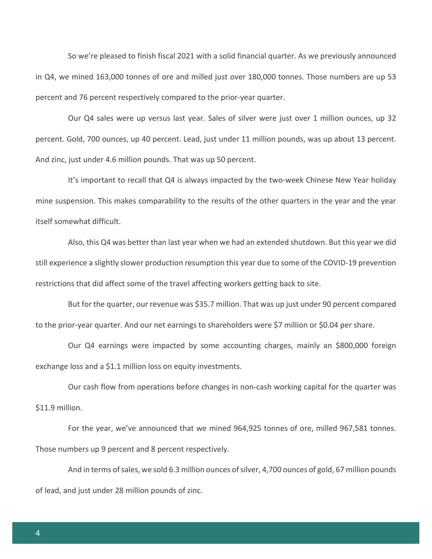So we're pleased to finish fiscal 2021 with a solid financial quarter. As we previously announced in Q4, we mined 163,000 tonnes of ore and milled just over 180,000 tonnes. Those numbers are up 53 percent and 76 percent respectively compared to the prior-year quarter.

Our Q4 sales were up versus last year. Sales of silver were just over 1 million ounces, up 32 percent. Gold, 700 ounces, up 40 percent. Lead, just under 11 million pounds, was up about 13 percent. And zinc, just under 4.6 million pounds. That was up 50 percent.

It's important to recall that Q4 is always impacted by the two-week Chinese New Year holiday mine suspension. This makes comparability to the results of the other quarters in the year and the year itself somewhat difficult.

Also, this Q4 was better than last year when we had an extended shutdown. But this year we did still experience a slightly slower production resumption this year due to some of the COVID-19 prevention restrictions that did affect some of the travel affecting workers getting back to site.

But for the quarter, our revenue was \$35.7 million. That was up just under 90 percent compared to the prior-year quarter. And our net earnings to shareholders were \$7 million or \$0.04 per share.

Our Q4 earnings were impacted by some accounting charges, mainly an \$800,000 foreign exchange loss and a \$1.1 million loss on equity investments.

Our cash flow from operations before changes in non-cash working capital for the quarter was \$11.9 million.

For the year, we've announced that we mined 964,925 tonnes of ore, milled 967,581 tonnes. Those numbers up 9 percent and 8 percent respectively.

And in terms of sales, we sold 6.3 million ounces of silver, 4,700 ounces of gold, 67 million pounds of lead, and just under 28 million pounds of zinc.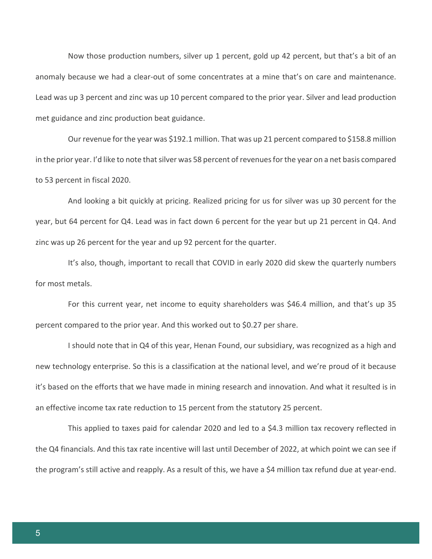Now those production numbers, silver up 1 percent, gold up 42 percent, but that's a bit of an anomaly because we had a clear-out of some concentrates at a mine that's on care and maintenance. Lead was up 3 percent and zinc was up 10 percent compared to the prior year. Silver and lead production met guidance and zinc production beat guidance.

Our revenue for the year was \$192.1 million. That was up 21 percent compared to \$158.8 million in the prior year. I'd like to note that silver was 58 percent of revenues for the year on a net basis compared to 53 percent in fiscal 2020.

And looking a bit quickly at pricing. Realized pricing for us for silver was up 30 percent for the year, but 64 percent for Q4. Lead was in fact down 6 percent for the year but up 21 percent in Q4. And zinc was up 26 percent for the year and up 92 percent for the quarter.

It's also, though, important to recall that COVID in early 2020 did skew the quarterly numbers for most metals.

For this current year, net income to equity shareholders was \$46.4 million, and that's up 35 percent compared to the prior year. And this worked out to \$0.27 per share.

I should note that in Q4 of this year, Henan Found, our subsidiary, was recognized as a high and new technology enterprise. So this is a classification at the national level, and we're proud of it because it's based on the efforts that we have made in mining research and innovation. And what it resulted is in an effective income tax rate reduction to 15 percent from the statutory 25 percent.

This applied to taxes paid for calendar 2020 and led to a \$4.3 million tax recovery reflected in the Q4 financials. And this tax rate incentive will last until December of 2022, at which point we can see if the program's still active and reapply. As a result of this, we have a \$4 million tax refund due at year-end.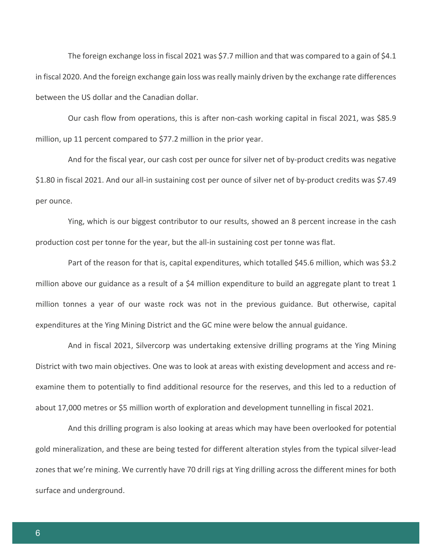The foreign exchange loss in fiscal 2021 was \$7.7 million and that was compared to a gain of \$4.1 in fiscal 2020. And the foreign exchange gain loss was really mainly driven by the exchange rate differences between the US dollar and the Canadian dollar.

Our cash flow from operations, this is after non-cash working capital in fiscal 2021, was \$85.9 million, up 11 percent compared to \$77.2 million in the prior year.

And for the fiscal year, our cash cost per ounce for silver net of by-product credits was negative \$1.80 in fiscal 2021. And our all-in sustaining cost per ounce of silver net of by-product credits was \$7.49 per ounce.

Ying, which is our biggest contributor to our results, showed an 8 percent increase in the cash production cost per tonne for the year, but the all-in sustaining cost per tonne was flat.

Part of the reason for that is, capital expenditures, which totalled \$45.6 million, which was \$3.2 million above our guidance as a result of a \$4 million expenditure to build an aggregate plant to treat 1 million tonnes a year of our waste rock was not in the previous guidance. But otherwise, capital expenditures at the Ying Mining District and the GC mine were below the annual guidance.

And in fiscal 2021, Silvercorp was undertaking extensive drilling programs at the Ying Mining District with two main objectives. One was to look at areas with existing development and access and reexamine them to potentially to find additional resource for the reserves, and this led to a reduction of about 17,000 metres or \$5 million worth of exploration and development tunnelling in fiscal 2021.

And this drilling program is also looking at areas which may have been overlooked for potential gold mineralization, and these are being tested for different alteration styles from the typical silver-lead zones that we're mining. We currently have 70 drill rigs at Ying drilling across the different mines for both surface and underground.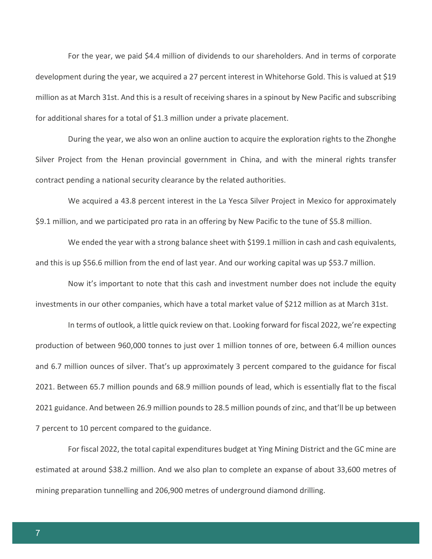For the year, we paid \$4.4 million of dividends to our shareholders. And in terms of corporate development during the year, we acquired a 27 percent interest in Whitehorse Gold. This is valued at \$19 million as at March 31st. And this is a result of receiving shares in a spinout by New Pacific and subscribing for additional shares for a total of \$1.3 million under a private placement.

During the year, we also won an online auction to acquire the exploration rights to the Zhonghe Silver Project from the Henan provincial government in China, and with the mineral rights transfer contract pending a national security clearance by the related authorities.

We acquired a 43.8 percent interest in the La Yesca Silver Project in Mexico for approximately \$9.1 million, and we participated pro rata in an offering by New Pacific to the tune of \$5.8 million.

We ended the year with a strong balance sheet with \$199.1 million in cash and cash equivalents, and this is up \$56.6 million from the end of last year. And our working capital was up \$53.7 million.

Now it's important to note that this cash and investment number does not include the equity investments in our other companies, which have a total market value of \$212 million as at March 31st.

In terms of outlook, a little quick review on that. Looking forward for fiscal 2022, we're expecting production of between 960,000 tonnes to just over 1 million tonnes of ore, between 6.4 million ounces and 6.7 million ounces of silver. That's up approximately 3 percent compared to the guidance for fiscal 2021. Between 65.7 million pounds and 68.9 million pounds of lead, which is essentially flat to the fiscal 2021 guidance. And between 26.9 million pounds to 28.5 million pounds of zinc, and that'll be up between 7 percent to 10 percent compared to the guidance.

For fiscal 2022, the total capital expenditures budget at Ying Mining District and the GC mine are estimated at around \$38.2 million. And we also plan to complete an expanse of about 33,600 metres of mining preparation tunnelling and 206,900 metres of underground diamond drilling.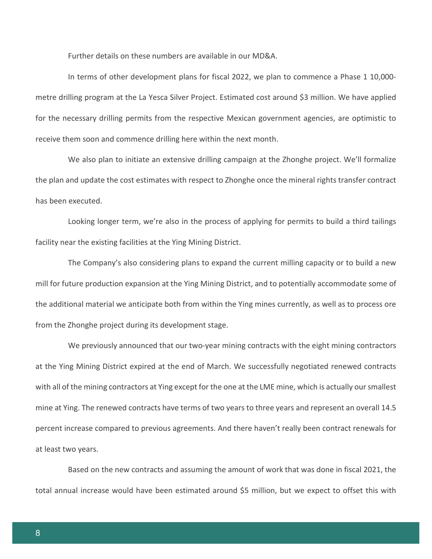Further details on these numbers are available in our MD&A.

In terms of other development plans for fiscal 2022, we plan to commence a Phase 1 10,000 metre drilling program at the La Yesca Silver Project. Estimated cost around \$3 million. We have applied for the necessary drilling permits from the respective Mexican government agencies, are optimistic to receive them soon and commence drilling here within the next month.

We also plan to initiate an extensive drilling campaign at the Zhonghe project. We'll formalize the plan and update the cost estimates with respect to Zhonghe once the mineral rights transfer contract has been executed.

Looking longer term, we're also in the process of applying for permits to build a third tailings facility near the existing facilities at the Ying Mining District.

The Company's also considering plans to expand the current milling capacity or to build a new mill for future production expansion at the Ying Mining District, and to potentially accommodate some of the additional material we anticipate both from within the Ying mines currently, as well as to process ore from the Zhonghe project during its development stage.

We previously announced that our two-year mining contracts with the eight mining contractors at the Ying Mining District expired at the end of March. We successfully negotiated renewed contracts with all of the mining contractors at Ying except for the one at the LME mine, which is actually our smallest mine at Ying. The renewed contracts have terms of two years to three years and represent an overall 14.5 percent increase compared to previous agreements. And there haven't really been contract renewals for at least two years.

Based on the new contracts and assuming the amount of work that was done in fiscal 2021, the total annual increase would have been estimated around \$5 million, but we expect to offset this with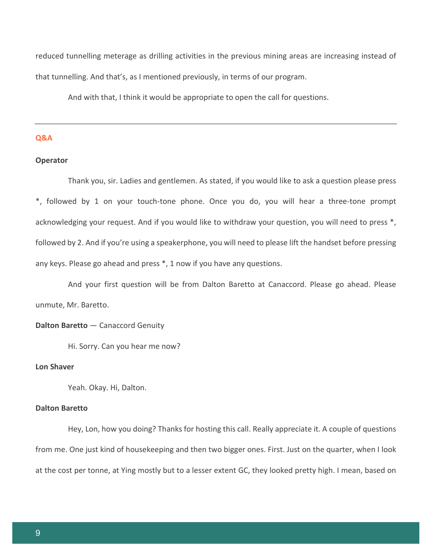reduced tunnelling meterage as drilling activities in the previous mining areas are increasing instead of that tunnelling. And that's, as I mentioned previously, in terms of our program.

And with that, I think it would be appropriate to open the call for questions.

# **Q&A**

### **Operator**

Thank you, sir. Ladies and gentlemen. As stated, if you would like to ask a question please press \*, followed by 1 on your touch-tone phone. Once you do, you will hear a three-tone prompt acknowledging your request. And if you would like to withdraw your question, you will need to press \*, followed by 2. And if you're using a speakerphone, you will need to please lift the handset before pressing any keys. Please go ahead and press \*, 1 now if you have any questions.

And your first question will be from Dalton Baretto at Canaccord. Please go ahead. Please unmute, Mr. Baretto.

# **Dalton Baretto** — Canaccord Genuity

Hi. Sorry. Can you hear me now?

# **Lon Shaver**

Yeah. Okay. Hi, Dalton.

### **Dalton Baretto**

Hey, Lon, how you doing? Thanks for hosting this call. Really appreciate it. A couple of questions from me. One just kind of housekeeping and then two bigger ones. First. Just on the quarter, when I look at the cost per tonne, at Ying mostly but to a lesser extent GC, they looked pretty high. I mean, based on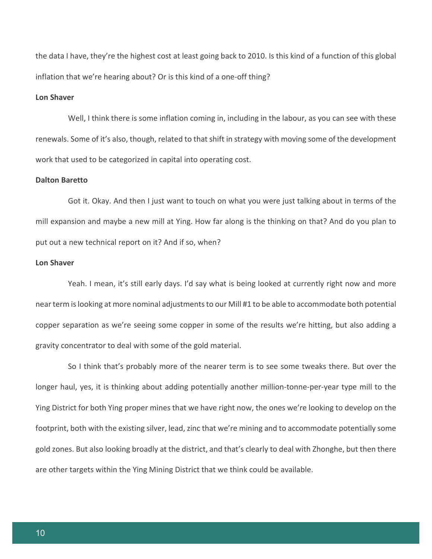the data I have, they're the highest cost at least going back to 2010. Is this kind of a function of this global inflation that we're hearing about? Or is this kind of a one-off thing?

# **Lon Shaver**

Well, I think there is some inflation coming in, including in the labour, as you can see with these renewals. Some of it's also, though, related to that shift in strategy with moving some of the development work that used to be categorized in capital into operating cost.

### **Dalton Baretto**

Got it. Okay. And then I just want to touch on what you were just talking about in terms of the mill expansion and maybe a new mill at Ying. How far along is the thinking on that? And do you plan to put out a new technical report on it? And if so, when?

### **Lon Shaver**

Yeah. I mean, it's still early days. I'd say what is being looked at currently right now and more near term is looking at more nominal adjustments to our Mill #1 to be able to accommodate both potential copper separation as we're seeing some copper in some of the results we're hitting, but also adding a gravity concentrator to deal with some of the gold material.

So I think that's probably more of the nearer term is to see some tweaks there. But over the longer haul, yes, it is thinking about adding potentially another million-tonne-per-year type mill to the Ying District for both Ying proper mines that we have right now, the ones we're looking to develop on the footprint, both with the existing silver, lead, zinc that we're mining and to accommodate potentially some gold zones. But also looking broadly at the district, and that's clearly to deal with Zhonghe, but then there are other targets within the Ying Mining District that we think could be available.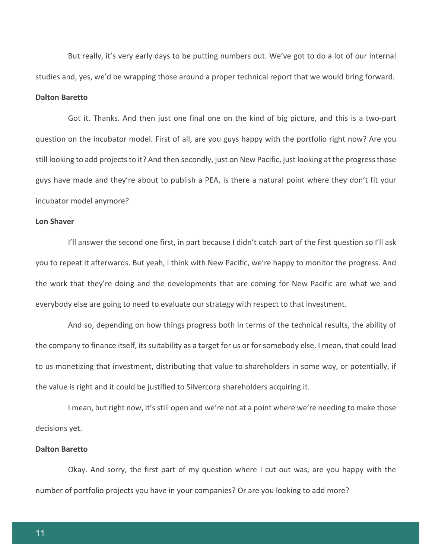But really, it's very early days to be putting numbers out. We've got to do a lot of our internal studies and, yes, we'd be wrapping those around a proper technical report that we would bring forward.

# **Dalton Baretto**

Got it. Thanks. And then just one final one on the kind of big picture, and this is a two-part question on the incubator model. First of all, are you guys happy with the portfolio right now? Are you still looking to add projects to it? And then secondly, just on New Pacific, just looking at the progress those guys have made and they're about to publish a PEA, is there a natural point where they don't fit your incubator model anymore?

### **Lon Shaver**

I'll answer the second one first, in part because I didn't catch part of the first question so I'll ask you to repeat it afterwards. But yeah, I think with New Pacific, we're happy to monitor the progress. And the work that they're doing and the developments that are coming for New Pacific are what we and everybody else are going to need to evaluate our strategy with respect to that investment.

And so, depending on how things progress both in terms of the technical results, the ability of the company to finance itself, its suitability as a target for us or for somebody else. I mean, that could lead to us monetizing that investment, distributing that value to shareholders in some way, or potentially, if the value is right and it could be justified to Silvercorp shareholders acquiring it.

I mean, but right now, it's still open and we're not at a point where we're needing to make those decisions yet.

### **Dalton Baretto**

Okay. And sorry, the first part of my question where I cut out was, are you happy with the number of portfolio projects you have in your companies? Or are you looking to add more?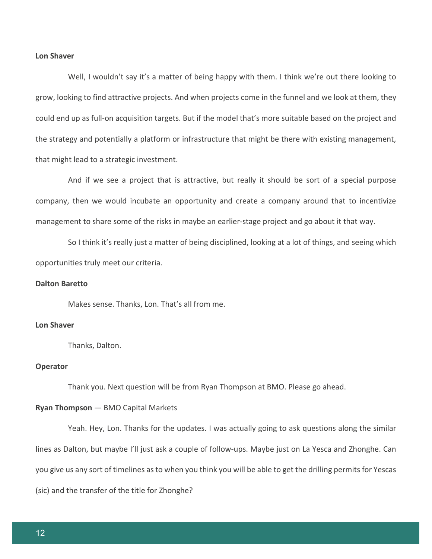# **Lon Shaver**

Well, I wouldn't say it's a matter of being happy with them. I think we're out there looking to grow, looking to find attractive projects. And when projects come in the funnel and we look at them, they could end up as full-on acquisition targets. But if the model that's more suitable based on the project and the strategy and potentially a platform or infrastructure that might be there with existing management, that might lead to a strategic investment.

And if we see a project that is attractive, but really it should be sort of a special purpose company, then we would incubate an opportunity and create a company around that to incentivize management to share some of the risks in maybe an earlier-stage project and go about it that way.

So I think it's really just a matter of being disciplined, looking at a lot of things, and seeing which opportunities truly meet our criteria.

# **Dalton Baretto**

Makes sense. Thanks, Lon. That's all from me.

# **Lon Shaver**

Thanks, Dalton.

### **Operator**

Thank you. Next question will be from Ryan Thompson at BMO. Please go ahead.

# **Ryan Thompson** — BMO Capital Markets

Yeah. Hey, Lon. Thanks for the updates. I was actually going to ask questions along the similar lines as Dalton, but maybe I'll just ask a couple of follow-ups. Maybe just on La Yesca and Zhonghe. Can you give us any sort of timelines as to when you think you will be able to get the drilling permits for Yescas (sic) and the transfer of the title for Zhonghe?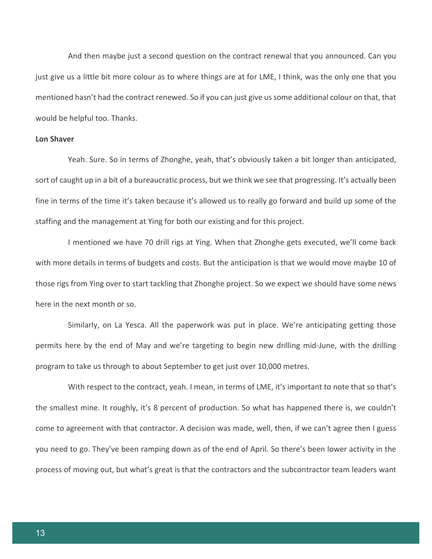And then maybe just a second question on the contract renewal that you announced. Can you just give us a little bit more colour as to where things are at for LME, I think, was the only one that you mentioned hasn't had the contract renewed. So if you can just give us some additional colour on that, that would be helpful too. Thanks.

# **Lon Shaver**

Yeah. Sure. So in terms of Zhonghe, yeah, that's obviously taken a bit longer than anticipated, sort of caught up in a bit of a bureaucratic process, but we think we see that progressing. It's actually been fine in terms of the time it's taken because it's allowed us to really go forward and build up some of the staffing and the management at Ying for both our existing and for this project.

I mentioned we have 70 drill rigs at Ying. When that Zhonghe gets executed, we'll come back with more details in terms of budgets and costs. But the anticipation is that we would move maybe 10 of those rigs from Ying over to start tackling that Zhonghe project. So we expect we should have some news here in the next month or so.

Similarly, on La Yesca. All the paperwork was put in place. We're anticipating getting those permits here by the end of May and we're targeting to begin new drilling mid-June, with the drilling program to take us through to about September to get just over 10,000 metres.

With respect to the contract, yeah. I mean, in terms of LME, it's important to note that so that's the smallest mine. It roughly, it's 8 percent of production. So what has happened there is, we couldn't come to agreement with that contractor. A decision was made, well, then, if we can't agree then I guess you need to go. They've been ramping down as of the end of April. So there's been lower activity in the process of moving out, but what's great is that the contractors and the subcontractor team leaders want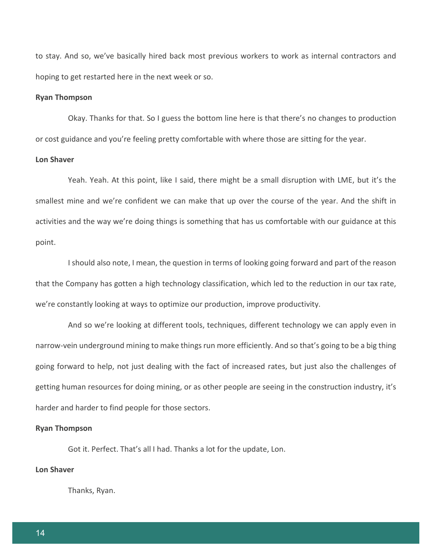to stay. And so, we've basically hired back most previous workers to work as internal contractors and hoping to get restarted here in the next week or so.

# **Ryan Thompson**

Okay. Thanks for that. So I guess the bottom line here is that there's no changes to production or cost guidance and you're feeling pretty comfortable with where those are sitting for the year.

# **Lon Shaver**

Yeah. Yeah. At this point, like I said, there might be a small disruption with LME, but it's the smallest mine and we're confident we can make that up over the course of the year. And the shift in activities and the way we're doing things is something that has us comfortable with our guidance at this point.

I should also note, I mean, the question in terms of looking going forward and part of the reason that the Company has gotten a high technology classification, which led to the reduction in our tax rate, we're constantly looking at ways to optimize our production, improve productivity.

And so we're looking at different tools, techniques, different technology we can apply even in narrow-vein underground mining to make things run more efficiently. And so that's going to be a big thing going forward to help, not just dealing with the fact of increased rates, but just also the challenges of getting human resources for doing mining, or as other people are seeing in the construction industry, it's harder and harder to find people for those sectors.

### **Ryan Thompson**

Got it. Perfect. That's all I had. Thanks a lot for the update, Lon.

# **Lon Shaver**

Thanks, Ryan.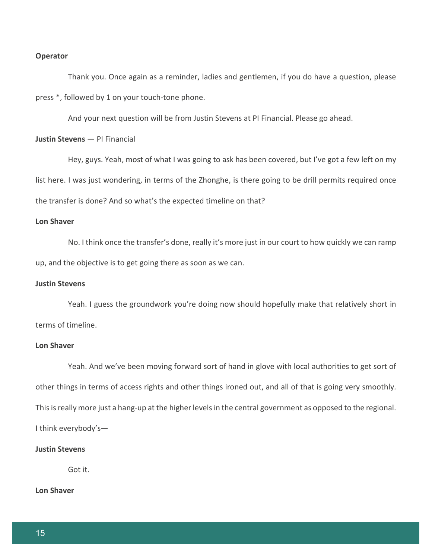### **Operator**

Thank you. Once again as a reminder, ladies and gentlemen, if you do have a question, please press \*, followed by 1 on your touch-tone phone.

And your next question will be from Justin Stevens at PI Financial. Please go ahead.

# **Justin Stevens** — PI Financial

Hey, guys. Yeah, most of what I was going to ask has been covered, but I've got a few left on my list here. I was just wondering, in terms of the Zhonghe, is there going to be drill permits required once the transfer is done? And so what's the expected timeline on that?

# **Lon Shaver**

No. I think once the transfer's done, really it's more just in our court to how quickly we can ramp up, and the objective is to get going there as soon as we can.

# **Justin Stevens**

Yeah. I guess the groundwork you're doing now should hopefully make that relatively short in terms of timeline.

# **Lon Shaver**

Yeah. And we've been moving forward sort of hand in glove with local authorities to get sort of other things in terms of access rights and other things ironed out, and all of that is going very smoothly. This is really more just a hang-up at the higher levels in the central government as opposed to the regional. I think everybody's—

### **Justin Stevens**

Got it.

# **Lon Shaver**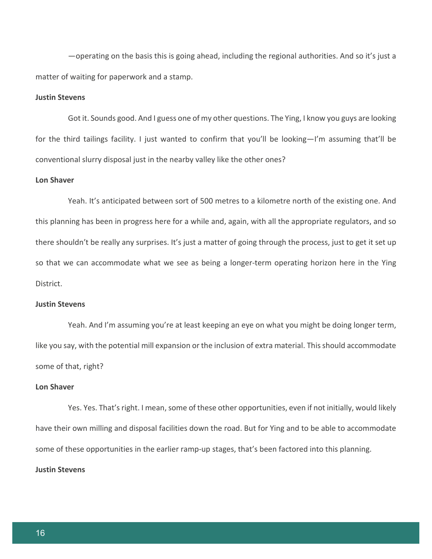—operating on the basis this is going ahead, including the regional authorities. And so it's just a matter of waiting for paperwork and a stamp.

# **Justin Stevens**

Got it. Sounds good. And I guess one of my other questions. The Ying, I know you guys are looking for the third tailings facility. I just wanted to confirm that you'll be looking—I'm assuming that'll be conventional slurry disposal just in the nearby valley like the other ones?

### **Lon Shaver**

Yeah. It's anticipated between sort of 500 metres to a kilometre north of the existing one. And this planning has been in progress here for a while and, again, with all the appropriate regulators, and so there shouldn't be really any surprises. It's just a matter of going through the process, just to get it set up so that we can accommodate what we see as being a longer-term operating horizon here in the Ying District.

# **Justin Stevens**

Yeah. And I'm assuming you're at least keeping an eye on what you might be doing longer term, like you say, with the potential mill expansion or the inclusion of extra material. This should accommodate some of that, right?

### **Lon Shaver**

Yes. Yes. That's right. I mean, some of these other opportunities, even if not initially, would likely have their own milling and disposal facilities down the road. But for Ying and to be able to accommodate some of these opportunities in the earlier ramp-up stages, that's been factored into this planning. **Justin Stevens**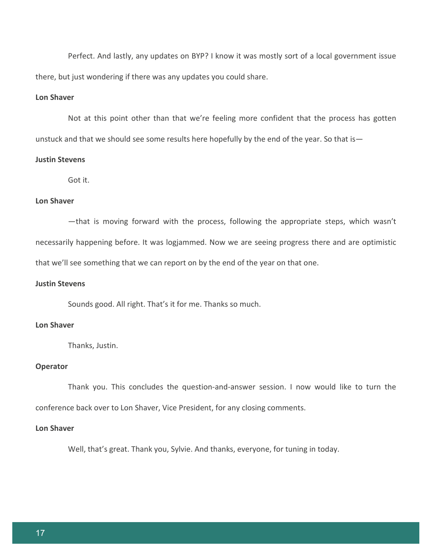Perfect. And lastly, any updates on BYP? I know it was mostly sort of a local government issue there, but just wondering if there was any updates you could share.

# **Lon Shaver**

Not at this point other than that we're feeling more confident that the process has gotten unstuck and that we should see some results here hopefully by the end of the year. So that is—

# **Justin Stevens**

Got it.

# **Lon Shaver**

—that is moving forward with the process, following the appropriate steps, which wasn't necessarily happening before. It was logjammed. Now we are seeing progress there and are optimistic that we'll see something that we can report on by the end of the year on that one.

# **Justin Stevens**

Sounds good. All right. That's it for me. Thanks so much.

### **Lon Shaver**

Thanks, Justin.

# **Operator**

Thank you. This concludes the question-and-answer session. I now would like to turn the conference back over to Lon Shaver, Vice President, for any closing comments.

# **Lon Shaver**

Well, that's great. Thank you, Sylvie. And thanks, everyone, for tuning in today.